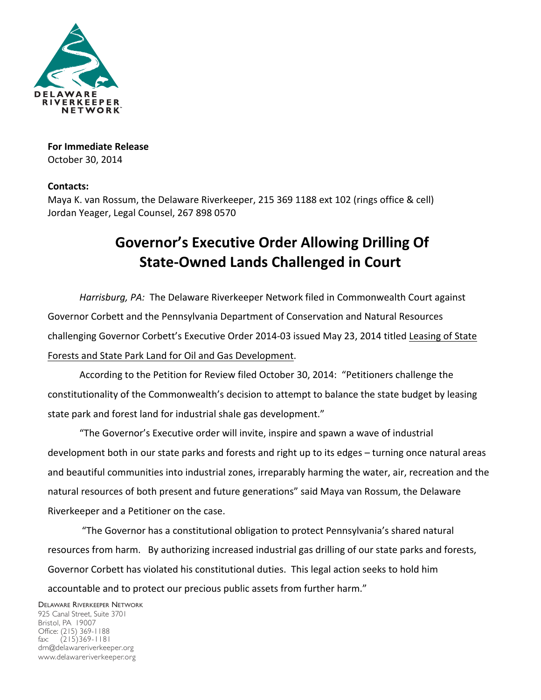

**For Immediate Release** October 30, 2014

## **Contacts:**

Maya K. van Rossum, the Delaware Riverkeeper, 215 369 1188 ext 102 (rings office & cell) Jordan Yeager, Legal Counsel, 267 898 0570

## **Governor's Executive Order Allowing Drilling Of State-Owned Lands Challenged in Court**

Harrisburg, PA: The Delaware Riverkeeper Network filed in Commonwealth Court against Governor Corbett and the Pennsylvania Department of Conservation and Natural Resources challenging Governor Corbett's Executive Order 2014-03 issued May 23, 2014 titled Leasing of State Forests and State Park Land for Oil and Gas Development.

According to the Petition for Review filed October 30, 2014: "Petitioners challenge the constitutionality of the Commonwealth's decision to attempt to balance the state budget by leasing state park and forest land for industrial shale gas development."

"The Governor's Executive order will invite, inspire and spawn a wave of industrial development both in our state parks and forests and right up to its edges – turning once natural areas and beautiful communities into industrial zones, irreparably harming the water, air, recreation and the natural resources of both present and future generations" said Maya van Rossum, the Delaware Riverkeeper and a Petitioner on the case.

"The Governor has a constitutional obligation to protect Pennsylvania's shared natural resources from harm. By authorizing increased industrial gas drilling of our state parks and forests, Governor Corbett has violated his constitutional duties. This legal action seeks to hold him accountable and to protect our precious public assets from further harm."

DELAWARE RIVERKEEPER NETWORK 925 Canal Street, Suite 3701 Bristol, PA 19007 Office: (215) 369-1188 fax: (215)369-1181 drn@delawareriverkeeper.org www.delawareriverkeeper.org